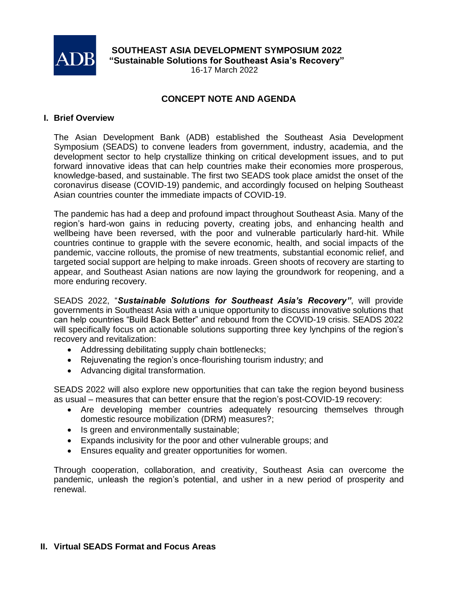

 **SOUTHEAST ASIA DEVELOPMENT SYMPOSIUM 2022 "Sustainable Solutions for Southeast Asia's Recovery"**

16-17 March 2022

## **CONCEPT NOTE AND AGENDA**

### **I. Brief Overview**

The Asian Development Bank (ADB) established the Southeast Asia Development Symposium (SEADS) to convene leaders from government, industry, academia, and the development sector to help crystallize thinking on critical development issues, and to put forward innovative ideas that can help countries make their economies more prosperous, knowledge-based, and sustainable. The first two SEADS took place amidst the onset of the coronavirus disease (COVID-19) pandemic, and accordingly focused on helping Southeast Asian countries counter the immediate impacts of COVID-19.

The pandemic has had a deep and profound impact throughout Southeast Asia. Many of the region's hard-won gains in reducing poverty, creating jobs, and enhancing health and wellbeing have been reversed, with the poor and vulnerable particularly hard-hit. While countries continue to grapple with the severe economic, health, and social impacts of the pandemic, vaccine rollouts, the promise of new treatments, substantial economic relief, and targeted social support are helping to make inroads. Green shoots of recovery are starting to appear, and Southeast Asian nations are now laying the groundwork for reopening, and a more enduring recovery.

SEADS 2022, "*Sustainable Solutions for Southeast Asia's Recovery"*, will provide governments in Southeast Asia with a unique opportunity to discuss innovative solutions that can help countries "Build Back Better" and rebound from the COVID-19 crisis. SEADS 2022 will specifically focus on actionable solutions supporting three key lynchpins of the region's recovery and revitalization:

- Addressing debilitating supply chain bottlenecks;
- Rejuvenating the region's once-flourishing tourism industry; and
- Advancing digital transformation.

SEADS 2022 will also explore new opportunities that can take the region beyond business as usual – measures that can better ensure that the region's post-COVID-19 recovery:

- Are developing member countries adequately resourcing themselves through domestic resource mobilization (DRM) measures?;
- Is green and environmentally sustainable;
- Expands inclusivity for the poor and other vulnerable groups; and
- Ensures equality and greater opportunities for women.

Through cooperation, collaboration, and creativity, Southeast Asia can overcome the pandemic, unleash the region's potential, and usher in a new period of prosperity and renewal.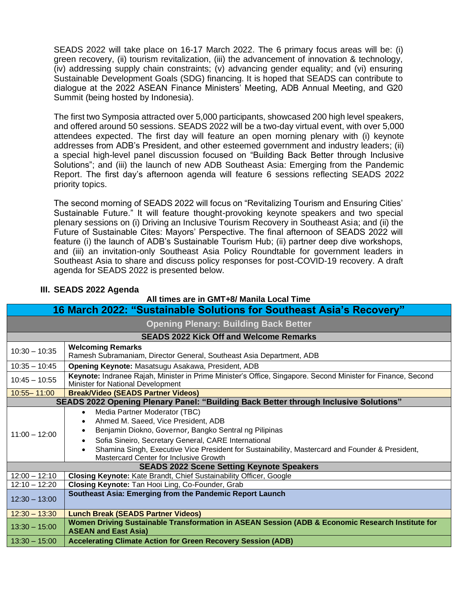SEADS 2022 will take place on 16-17 March 2022. The 6 primary focus areas will be: (i) green recovery, (ii) tourism revitalization, (iii) the advancement of innovation & technology, (iv) addressing supply chain constraints; (v) advancing gender equality; and (vi) ensuring Sustainable Development Goals (SDG) financing. It is hoped that SEADS can contribute to dialogue at the 2022 ASEAN Finance Ministers' Meeting, ADB Annual Meeting, and G20 Summit (being hosted by Indonesia).

The first two Symposia attracted over 5,000 participants, showcased 200 high level speakers, and offered around 50 sessions. SEADS 2022 will be a two-day virtual event, with over 5,000 attendees expected. The first day will feature an open morning plenary with (i) keynote addresses from ADB's President, and other esteemed government and industry leaders; (ii) a special high-level panel discussion focused on "Building Back Better through Inclusive Solutions"; and (iii) the launch of new ADB Southeast Asia: Emerging from the Pandemic Report. The first day's afternoon agenda will feature 6 sessions reflecting SEADS 2022 priority topics.

The second morning of SEADS 2022 will focus on "Revitalizing Tourism and Ensuring Cities' Sustainable Future." It will feature thought-provoking keynote speakers and two special plenary sessions on (i) Driving an Inclusive Tourism Recovery in Southeast Asia; and (ii) the Future of Sustainable Cites: Mayors' Perspective. The final afternoon of SEADS 2022 will feature (i) the launch of ADB's Sustainable Tourism Hub; (ii) partner deep dive workshops, and (iii) an invitation-only Southeast Asia Policy Roundtable for government leaders in Southeast Asia to share and discuss policy responses for post-COVID-19 recovery. A draft agenda for SEADS 2022 is presented below.

#### **All times are in GMT+8/ Manila Local Time 16 March 2022: "Sustainable Solutions for Southeast Asia's Recovery" Opening Plenary: Building Back Better SEADS 2022 Kick Off and Welcome Remarks** 10:30 – 10:35 **Welcoming Remarks** Ramesh Subramaniam, Director General, Southeast Asia Department, ADB 10:35 – 10:45 **Opening Keynote:** Masatsugu Asakawa, President, ADB 10:45 – 10:55 **Keynote:** Indranee Rajah, Minister in Prime Minister's Office, Singapore. Second Minister for Finance, Second Minister for National Development 10:55– 11:00 **Break/Video (SEADS Partner Videos) SEADS 2022 Opening Plenary Panel: "Building Back Better through Inclusive Solutions"** 11:00 – 12:00 • Media Partner Moderator (TBC) • Ahmed M. Saeed, Vice President, ADB • Benjamin Diokno, Governor, Bangko Sentral ng Pilipinas • Sofia Sineiro, Secretary General, CARE International • Shamina Singh, Executive Vice President for Sustainability, Mastercard and Founder & President, Mastercard Center for Inclusive Growth **SEADS 2022 Scene Setting Keynote Speakers** 12:00 – 12:10 **Closing Keynote:** Kate Brandt, Chief Sustainability Officer, Google 12:10 – 12:20 **Closing Keynote:** Tan Hooi Ling, Co-Founder, Grab 12:30 – 13:00 **Southeast Asia: Emerging from the Pandemic Report Launch** 12:30 – 13:30 **Lunch Break (SEADS Partner Videos)** 13:30 – 15:00 **Women Driving Sustainable Transformation in ASEAN Session (ADB & Economic Research Institute for ASEAN and East Asia)** 13:30 – 15:00 **Accelerating Climate Action for Green Recovery Session (ADB)**

## **III. SEADS 2022 Agenda**